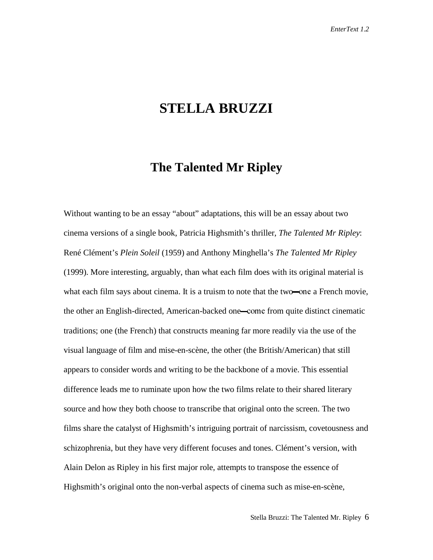# **STELLA BRUZZI**

## **The Talented Mr Ripley**

Without wanting to be an essay "about" adaptations, this will be an essay about two cinema versions of a single book, Patricia Highsmith's thriller, *The Talented Mr Ripley*: René Clément's *Plein Soleil* (1959) and Anthony Minghella's *The Talented Mr Ripley* (1999). More interesting, arguably, than what each film does with its original material is what each film says about cinema. It is a truism to note that the two—one a French movie, the other an English-directed, American-backed one—come from quite distinct cinematic traditions; one (the French) that constructs meaning far more readily via the use of the visual language of film and mise-en-scène, the other (the British/American) that still appears to consider words and writing to be the backbone of a movie. This essential difference leads me to ruminate upon how the two films relate to their shared literary source and how they both choose to transcribe that original onto the screen. The two films share the catalyst of Highsmith's intriguing portrait of narcissism, covetousness and schizophrenia, but they have very different focuses and tones. Clément's version, with Alain Delon as Ripley in his first major role, attempts to transpose the essence of Highsmith's original onto the non-verbal aspects of cinema such as mise-en-scène,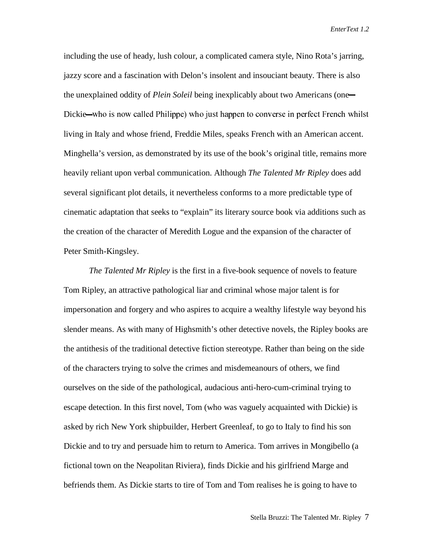including the use of heady, lush colour, a complicated camera style, Nino Rota's jarring, jazzy score and a fascination with Delon's insolent and insouciant beauty. There is also the unexplained oddity of *Plein Soleil* being inexplicably about two Americans (one Dickie—who is now called Philippe) who just happen to converse in perfect French whilst living in Italy and whose friend, Freddie Miles, speaks French with an American accent. Minghella's version, as demonstrated by its use of the book's original title, remains more heavily reliant upon verbal communication. Although *The Talented Mr Ripley* does add several significant plot details, it nevertheless conforms to a more predictable type of cinematic adaptation that seeks to "explain" its literary source book via additions such as the creation of the character of Meredith Logue and the expansion of the character of Peter Smith-Kingsley.

*The Talented Mr Ripley* is the first in a five-book sequence of novels to feature Tom Ripley, an attractive pathological liar and criminal whose major talent is for impersonation and forgery and who aspires to acquire a wealthy lifestyle way beyond his slender means. As with many of Highsmith's other detective novels, the Ripley books are the antithesis of the traditional detective fiction stereotype. Rather than being on the side of the characters trying to solve the crimes and misdemeanours of others, we find ourselves on the side of the pathological, audacious anti-hero-cum-criminal trying to escape detection. In this first novel, Tom (who was vaguely acquainted with Dickie) is asked by rich New York shipbuilder, Herbert Greenleaf, to go to Italy to find his son Dickie and to try and persuade him to return to America. Tom arrives in Mongibello (a fictional town on the Neapolitan Riviera), finds Dickie and his girlfriend Marge and befriends them. As Dickie starts to tire of Tom and Tom realises he is going to have to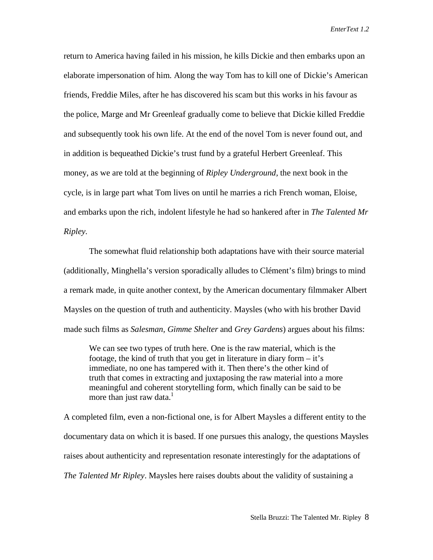return to America having failed in his mission, he kills Dickie and then embarks upon an elaborate impersonation of him. Along the way Tom has to kill one of Dickie's American friends, Freddie Miles, after he has discovered his scam but this works in his favour as the police, Marge and Mr Greenleaf gradually come to believe that Dickie killed Freddie and subsequently took his own life. At the end of the novel Tom is never found out, and in addition is bequeathed Dickie's trust fund by a grateful Herbert Greenleaf. This money, as we are told at the beginning of *Ripley Underground,* the next book in the cycle, is in large part what Tom lives on until he marries a rich French woman, Eloise, and embarks upon the rich, indolent lifestyle he had so hankered after in *The Talented Mr Ripley.*

The somewhat fluid relationship both adaptations have with their source material (additionally, Minghella's version sporadically alludes to Clément's film) brings to mind a remark made, in quite another context, by the American documentary filmmaker Albert Maysles on the question of truth and authenticity. Maysles (who with his brother David made such films as *Salesman, Gimme Shelter* and *Grey Gardens*) argues about his films:

We can see two types of truth here. One is the raw material, which is the footage, the kind of truth that you get in literature in diary form – it's immediate, no one has tampered with it. Then there's the other kind of truth that comes in extracting and juxtaposing the raw material into a more meaningful and coherent storytelling form, which finally can be said to be more than just raw data. $<sup>1</sup>$ </sup>

A completed film, even a non-fictional one, is for Albert Maysles a different entity to the documentary data on which it is based. If one pursues this analogy, the questions Maysles raises about authenticity and representation resonate interestingly for the adaptations of *The Talented Mr Ripley*. Maysles here raises doubts about the validity of sustaining a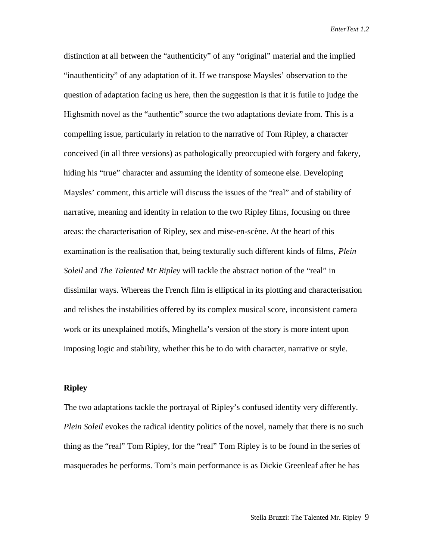distinction at all between the "authenticity" of any "original" material and the implied "inauthenticity" of any adaptation of it. If we transpose Maysles' observation to the question of adaptation facing us here, then the suggestion is that it is futile to judge the Highsmith novel as the "authentic" source the two adaptations deviate from. This is a compelling issue, particularly in relation to the narrative of Tom Ripley, a character conceived (in all three versions) as pathologically preoccupied with forgery and fakery, hiding his "true" character and assuming the identity of someone else. Developing Maysles' comment, this article will discuss the issues of the "real" and of stability of narrative, meaning and identity in relation to the two Ripley films, focusing on three areas: the characterisation of Ripley, sex and mise-en-scène. At the heart of this examination is the realisation that, being texturally such different kinds of films, *Plein Soleil* and *The Talented Mr Ripley* will tackle the abstract notion of the "real" in dissimilar ways. Whereas the French film is elliptical in its plotting and characterisation and relishes the instabilities offered by its complex musical score, inconsistent camera work or its unexplained motifs, Minghella's version of the story is more intent upon imposing logic and stability, whether this be to do with character, narrative or style.

#### **Ripley**

The two adaptations tackle the portrayal of Ripley's confused identity very differently. *Plein Soleil* evokes the radical identity politics of the novel, namely that there is no such thing as the "real" Tom Ripley, for the "real" Tom Ripley is to be found in the series of masquerades he performs. Tom's main performance is as Dickie Greenleaf after he has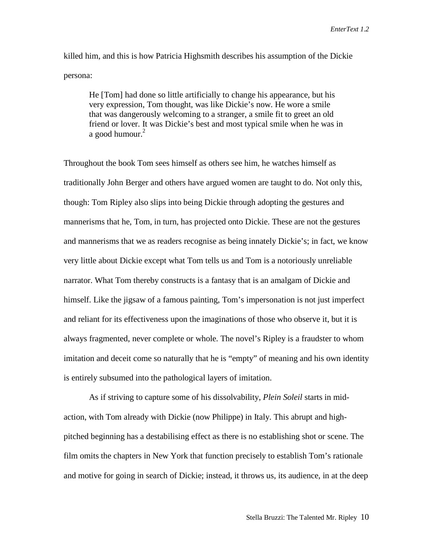killed him, and this is how Patricia Highsmith describes his assumption of the Dickie persona:

He [Tom] had done so little artificially to change his appearance, but his very expression, Tom thought, was like Dickie's now. He wore a smile that was dangerously welcoming to a stranger, a smile fit to greet an old friend or lover. It was Dickie's best and most typical smile when he was in a good humour. $2$ 

Throughout the book Tom sees himself as others see him, he watches himself as traditionally John Berger and others have argued women are taught to do. Not only this, though: Tom Ripley also slips into being Dickie through adopting the gestures and mannerisms that he, Tom, in turn, has projected onto Dickie. These are not the gestures and mannerisms that we as readers recognise as being innately Dickie's; in fact, we know very little about Dickie except what Tom tells us and Tom is a notoriously unreliable narrator. What Tom thereby constructs is a fantasy that is an amalgam of Dickie and himself. Like the jigsaw of a famous painting, Tom's impersonation is not just imperfect and reliant for its effectiveness upon the imaginations of those who observe it, but it is always fragmented, never complete or whole. The novel's Ripley is a fraudster to whom imitation and deceit come so naturally that he is "empty" of meaning and his own identity is entirely subsumed into the pathological layers of imitation.

As if striving to capture some of his dissolvability, *Plein Soleil* starts in midaction, with Tom already with Dickie (now Philippe) in Italy. This abrupt and highpitched beginning has a destabilising effect as there is no establishing shot or scene. The film omits the chapters in New York that function precisely to establish Tom's rationale and motive for going in search of Dickie; instead, it throws us, its audience, in at the deep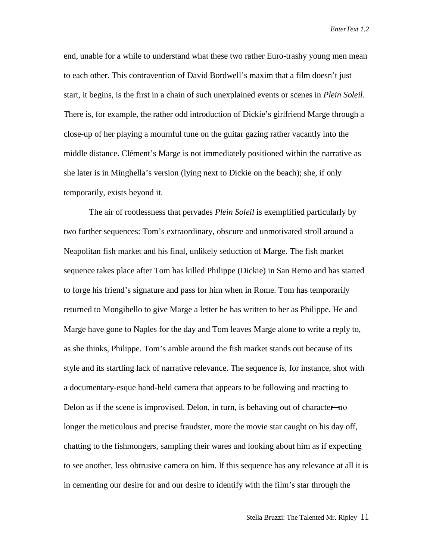end, unable for a while to understand what these two rather Euro-trashy young men mean to each other. This contravention of David Bordwell's maxim that a film doesn't just start, it begins, is the first in a chain of such unexplained events or scenes in *Plein Soleil*. There is, for example, the rather odd introduction of Dickie's girlfriend Marge through a close-up of her playing a mournful tune on the guitar gazing rather vacantly into the middle distance. Clément's Marge is not immediately positioned within the narrative as she later is in Minghella's version (lying next to Dickie on the beach); she, if only temporarily, exists beyond it.

The air of rootlessness that pervades *Plein Soleil* is exemplified particularly by two further sequences: Tom's extraordinary, obscure and unmotivated stroll around a Neapolitan fish market and his final, unlikely seduction of Marge. The fish market sequence takes place after Tom has killed Philippe (Dickie) in San Remo and has started to forge his friend's signature and pass for him when in Rome. Tom has temporarily returned to Mongibello to give Marge a letter he has written to her as Philippe. He and Marge have gone to Naples for the day and Tom leaves Marge alone to write a reply to, as she thinks, Philippe. Tom's amble around the fish market stands out because of its style and its startling lack of narrative relevance. The sequence is, for instance, shot with a documentary-esque hand-held camera that appears to be following and reacting to Delon as if the scene is improvised. Delon, in turn, is behaving out of character—no longer the meticulous and precise fraudster, more the movie star caught on his day off, chatting to the fishmongers, sampling their wares and looking about him as if expecting to see another, less obtrusive camera on him. If this sequence has any relevance at all it is in cementing our desire for and our desire to identify with the film's star through the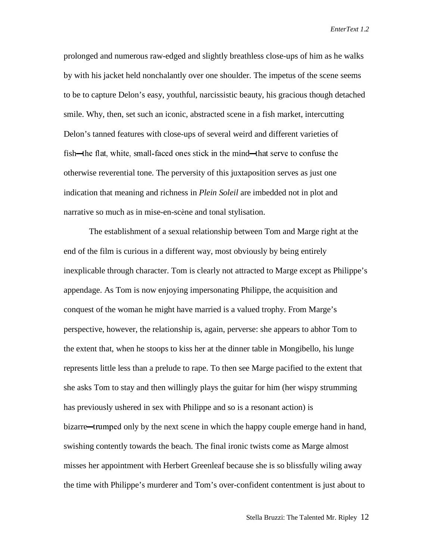prolonged and numerous raw-edged and slightly breathless close-ups of him as he walks by with his jacket held nonchalantly over one shoulder. The impetus of the scene seems to be to capture Delon's easy, youthful, narcissistic beauty, his gracious though detached smile. Why, then, set such an iconic, abstracted scene in a fish market, intercutting Delon's tanned features with close-ups of several weird and different varieties of fish—the flat, white, small-faced ones stick in the mind—that serve to confuse the otherwise reverential tone. The perversity of this juxtaposition serves as just one indication that meaning and richness in *Plein Soleil* are imbedded not in plot and narrative so much as in mise-en-scène and tonal stylisation.

The establishment of a sexual relationship between Tom and Marge right at the end of the film is curious in a different way, most obviously by being entirely inexplicable through character. Tom is clearly not attracted to Marge except as Philippe's appendage. As Tom is now enjoying impersonating Philippe, the acquisition and conquest of the woman he might have married is a valued trophy. From Marge's perspective, however, the relationship is, again, perverse: she appears to abhor Tom to the extent that, when he stoops to kiss her at the dinner table in Mongibello, his lunge represents little less than a prelude to rape. To then see Marge pacified to the extent that she asks Tom to stay and then willingly plays the guitar for him (her wispy strumming has previously ushered in sex with Philippe and so is a resonant action) is bizarre—trumped only by the next scene in which the happy couple emerge hand in hand, swishing contently towards the beach. The final ironic twists come as Marge almost misses her appointment with Herbert Greenleaf because she is so blissfully wiling away the time with Philippe's murderer and Tom's over-confident contentment is just about to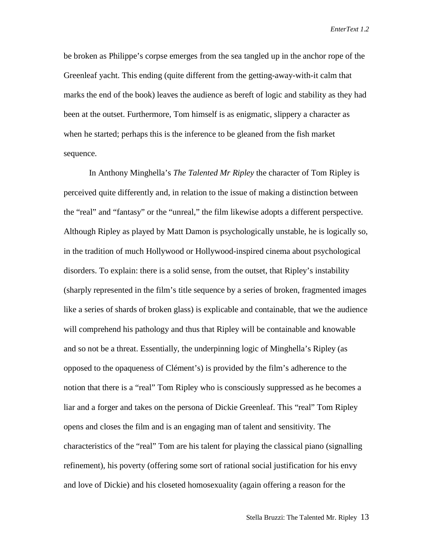be broken as Philippe's corpse emerges from the sea tangled up in the anchor rope of the Greenleaf yacht. This ending (quite different from the getting-away-with-it calm that marks the end of the book) leaves the audience as bereft of logic and stability as they had been at the outset. Furthermore, Tom himself is as enigmatic, slippery a character as when he started; perhaps this is the inference to be gleaned from the fish market sequence.

In Anthony Minghella's *The Talented Mr Ripley* the character of Tom Ripley is perceived quite differently and, in relation to the issue of making a distinction between the "real" and "fantasy" or the "unreal," the film likewise adopts a different perspective. Although Ripley as played by Matt Damon is psychologically unstable, he is logically so, in the tradition of much Hollywood or Hollywood-inspired cinema about psychological disorders. To explain: there is a solid sense, from the outset, that Ripley's instability (sharply represented in the film's title sequence by a series of broken, fragmented images like a series of shards of broken glass) is explicable and containable, that we the audience will comprehend his pathology and thus that Ripley will be containable and knowable and so not be a threat. Essentially, the underpinning logic of Minghella's Ripley (as opposed to the opaqueness of Clément's) is provided by the film's adherence to the notion that there is a "real" Tom Ripley who is consciously suppressed as he becomes a liar and a forger and takes on the persona of Dickie Greenleaf. This "real" Tom Ripley opens and closes the film and is an engaging man of talent and sensitivity. The characteristics of the "real" Tom are his talent for playing the classical piano (signalling refinement), his poverty (offering some sort of rational social justification for his envy and love of Dickie) and his closeted homosexuality (again offering a reason for the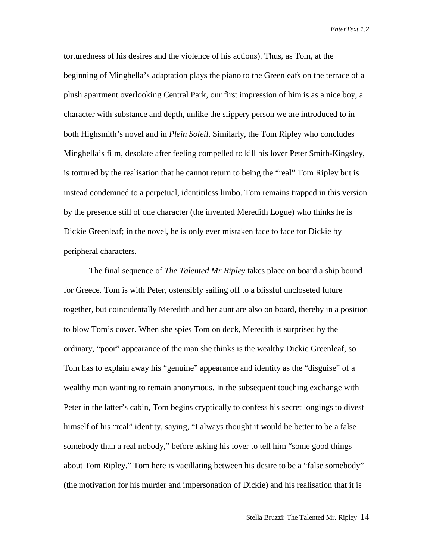torturedness of his desires and the violence of his actions). Thus, as Tom, at the beginning of Minghella's adaptation plays the piano to the Greenleafs on the terrace of a plush apartment overlooking Central Park, our first impression of him is as a nice boy, a character with substance and depth, unlike the slippery person we are introduced to in both Highsmith's novel and in *Plein Soleil*. Similarly, the Tom Ripley who concludes Minghella's film, desolate after feeling compelled to kill his lover Peter Smith-Kingsley, is tortured by the realisation that he cannot return to being the "real" Tom Ripley but is instead condemned to a perpetual, identitiless limbo. Tom remains trapped in this version by the presence still of one character (the invented Meredith Logue) who thinks he is Dickie Greenleaf; in the novel, he is only ever mistaken face to face for Dickie by peripheral characters.

The final sequence of *The Talented Mr Ripley* takes place on board a ship bound for Greece. Tom is with Peter, ostensibly sailing off to a blissful uncloseted future together, but coincidentally Meredith and her aunt are also on board, thereby in a position to blow Tom's cover. When she spies Tom on deck, Meredith is surprised by the ordinary, "poor" appearance of the man she thinks is the wealthy Dickie Greenleaf, so Tom has to explain away his "genuine" appearance and identity as the "disguise" of a wealthy man wanting to remain anonymous. In the subsequent touching exchange with Peter in the latter's cabin, Tom begins cryptically to confess his secret longings to divest himself of his "real" identity, saying, "I always thought it would be better to be a false somebody than a real nobody," before asking his lover to tell him "some good things about Tom Ripley." Tom here is vacillating between his desire to be a "false somebody" (the motivation for his murder and impersonation of Dickie) and his realisation that it is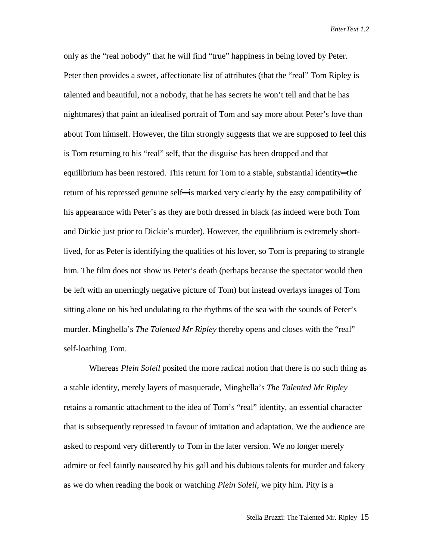only as the "real nobody" that he will find "true" happiness in being loved by Peter. Peter then provides a sweet, affectionate list of attributes (that the "real" Tom Ripley is talented and beautiful, not a nobody, that he has secrets he won't tell and that he has nightmares) that paint an idealised portrait of Tom and say more about Peter's love than about Tom himself. However, the film strongly suggests that we are supposed to feel this is Tom returning to his "real" self, that the disguise has been dropped and that equilibrium has been restored. This return for Tom to a stable, substantial identity—the return of his repressed genuine self—is marked very clearly by the easy compatibility of his appearance with Peter's as they are both dressed in black (as indeed were both Tom and Dickie just prior to Dickie's murder). However, the equilibrium is extremely shortlived, for as Peter is identifying the qualities of his lover, so Tom is preparing to strangle him. The film does not show us Peter's death (perhaps because the spectator would then be left with an unerringly negative picture of Tom) but instead overlays images of Tom sitting alone on his bed undulating to the rhythms of the sea with the sounds of Peter's murder. Minghella's *The Talented Mr Ripley* thereby opens and closes with the "real" self-loathing Tom.

Whereas *Plein Soleil* posited the more radical notion that there is no such thing as a stable identity, merely layers of masquerade, Minghella's *The Talented Mr Ripley* retains a romantic attachment to the idea of Tom's "real" identity, an essential character that is subsequently repressed in favour of imitation and adaptation. We the audience are asked to respond very differently to Tom in the later version. We no longer merely admire or feel faintly nauseated by his gall and his dubious talents for murder and fakery as we do when reading the book or watching *Plein Soleil*, we pity him. Pity is a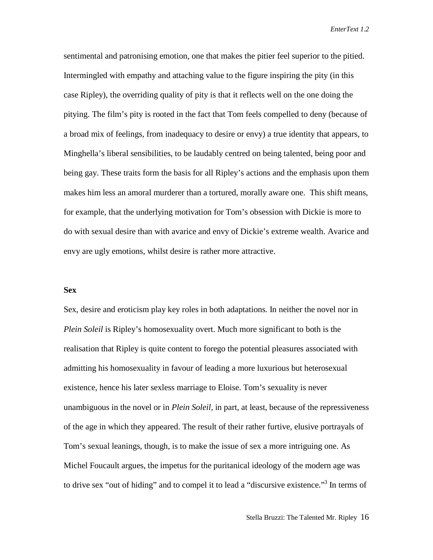sentimental and patronising emotion, one that makes the pitier feel superior to the pitied. Intermingled with empathy and attaching value to the figure inspiring the pity (in this case Ripley), the overriding quality of pity is that it reflects well on the one doing the pitying. The film's pity is rooted in the fact that Tom feels compelled to deny (because of a broad mix of feelings, from inadequacy to desire or envy) a true identity that appears, to Minghella's liberal sensibilities, to be laudably centred on being talented, being poor and being gay. These traits form the basis for all Ripley's actions and the emphasis upon them makes him less an amoral murderer than a tortured, morally aware one. This shift means, for example, that the underlying motivation for Tom's obsession with Dickie is more to do with sexual desire than with avarice and envy of Dickie's extreme wealth. Avarice and envy are ugly emotions, whilst desire is rather more attractive.

#### **Sex**

Sex, desire and eroticism play key roles in both adaptations. In neither the novel nor in *Plein Soleil* is Ripley's homosexuality overt. Much more significant to both is the realisation that Ripley is quite content to forego the potential pleasures associated with admitting his homosexuality in favour of leading a more luxurious but heterosexual existence, hence his later sexless marriage to Eloise. Tom's sexuality is never unambiguous in the novel or in *Plein Soleil,* in part, at least, because of the repressiveness of the age in which they appeared. The result of their rather furtive, elusive portrayals of Tom's sexual leanings, though, is to make the issue of sex a more intriguing one. As Michel Foucault argues, the impetus for the puritanical ideology of the modern age was to drive sex "out of hiding" and to compel it to lead a "discursive existence."<sup>3</sup> In terms of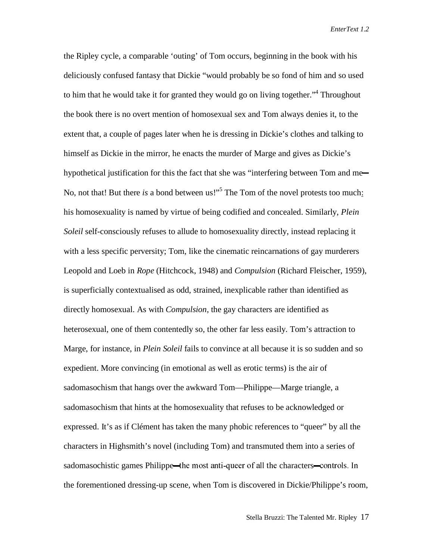the Ripley cycle, a comparable 'outing' of Tom occurs, beginning in the book with his deliciously confused fantasy that Dickie "would probably be so fond of him and so used to him that he would take it for granted they would go on living together."<sup>4</sup> Throughout the book there is no overt mention of homosexual sex and Tom always denies it, to the extent that, a couple of pages later when he is dressing in Dickie's clothes and talking to himself as Dickie in the mirror, he enacts the murder of Marge and gives as Dickie's hypothetical justification for this the fact that she was "interfering between Tom and me-No, not that! But there *is* a bond between us!"<sup>5</sup> The Tom of the novel protests too much: his homosexuality is named by virtue of being codified and concealed. Similarly, *Plein Soleil* self-consciously refuses to allude to homosexuality directly, instead replacing it with a less specific perversity; Tom, like the cinematic reincarnations of gay murderers Leopold and Loeb in *Rope* (Hitchcock, 1948) and *Compulsion* (Richard Fleischer, 1959), is superficially contextualised as odd, strained, inexplicable rather than identified as directly homosexual. As with *Compulsion*, the gay characters are identified as heterosexual, one of them contentedly so, the other far less easily. Tom's attraction to Marge, for instance, in *Plein Soleil* fails to convince at all because it is so sudden and so expedient. More convincing (in emotional as well as erotic terms) is the air of sadomasochism that hangs over the awkward Tom—Philippe—Marge triangle, a sadomasochism that hints at the homosexuality that refuses to be acknowledged or expressed. It's as if Clément has taken the many phobic references to "queer" by all the characters in Highsmith's novel (including Tom) and transmuted them into a series of sadomasochistic games Philippe—the most anti-queer of all the characters—controls. In the forementioned dressing-up scene, when Tom is discovered in Dickie/Philippe's room,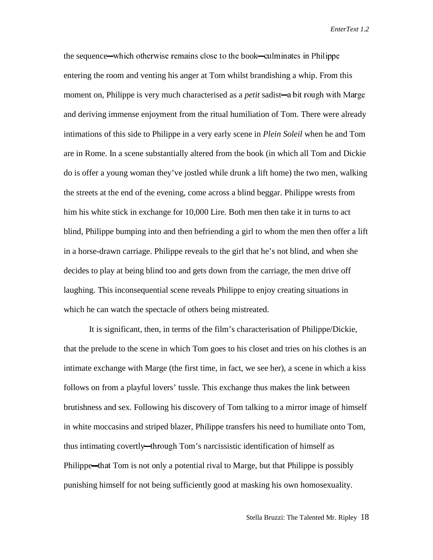the sequence—which otherwise remains close to the book—culminates in Philippe entering the room and venting his anger at Tom whilst brandishing a whip. From this moment on, Philippe is very much characterised as a *petit* sadist—a bit rough with Marge and deriving immense enjoyment from the ritual humiliation of Tom. There were already intimations of this side to Philippe in a very early scene in *Plein Soleil* when he and Tom are in Rome. In a scene substantially altered from the book (in which all Tom and Dickie do is offer a young woman they've jostled while drunk a lift home) the two men, walking the streets at the end of the evening, come across a blind beggar. Philippe wrests from him his white stick in exchange for 10,000 Lire. Both men then take it in turns to act blind, Philippe bumping into and then befriending a girl to whom the men then offer a lift in a horse-drawn carriage. Philippe reveals to the girl that he's not blind, and when she decides to play at being blind too and gets down from the carriage, the men drive off laughing. This inconsequential scene reveals Philippe to enjoy creating situations in which he can watch the spectacle of others being mistreated.

It is significant, then, in terms of the film's characterisation of Philippe/Dickie, that the prelude to the scene in which Tom goes to his closet and tries on his clothes is an intimate exchange with Marge (the first time, in fact, we see her), a scene in which a kiss follows on from a playful lovers' tussle. This exchange thus makes the link between brutishness and sex. Following his discovery of Tom talking to a mirror image of himself in white moccasins and striped blazer, Philippe transfers his need to humiliate onto Tom, thus intimating covertly—through Tom's narcissistic identification of himself as Philippe—that Tom is not only a potential rival to Marge, but that Philippe is possibly punishing himself for not being sufficiently good at masking his own homosexuality.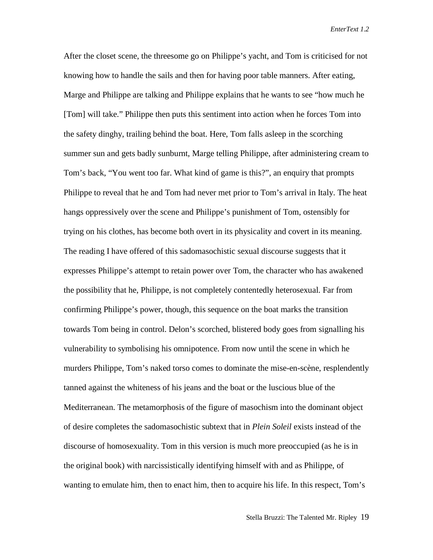After the closet scene, the threesome go on Philippe's yacht, and Tom is criticised for not knowing how to handle the sails and then for having poor table manners. After eating, Marge and Philippe are talking and Philippe explains that he wants to see "how much he [Tom] will take." Philippe then puts this sentiment into action when he forces Tom into the safety dinghy, trailing behind the boat. Here, Tom falls asleep in the scorching summer sun and gets badly sunburnt, Marge telling Philippe, after administering cream to Tom's back, "You went too far. What kind of game is this?", an enquiry that prompts Philippe to reveal that he and Tom had never met prior to Tom's arrival in Italy. The heat hangs oppressively over the scene and Philippe's punishment of Tom, ostensibly for trying on his clothes, has become both overt in its physicality and covert in its meaning. The reading I have offered of this sadomasochistic sexual discourse suggests that it expresses Philippe's attempt to retain power over Tom, the character who has awakened the possibility that he, Philippe, is not completely contentedly heterosexual. Far from confirming Philippe's power, though, this sequence on the boat marks the transition towards Tom being in control. Delon's scorched, blistered body goes from signalling his vulnerability to symbolising his omnipotence. From now until the scene in which he murders Philippe, Tom's naked torso comes to dominate the mise-en-scène, resplendently tanned against the whiteness of his jeans and the boat or the luscious blue of the Mediterranean. The metamorphosis of the figure of masochism into the dominant object of desire completes the sadomasochistic subtext that in *Plein Soleil* exists instead of the discourse of homosexuality. Tom in this version is much more preoccupied (as he is in the original book) with narcissistically identifying himself with and as Philippe, of wanting to emulate him, then to enact him, then to acquire his life. In this respect, Tom's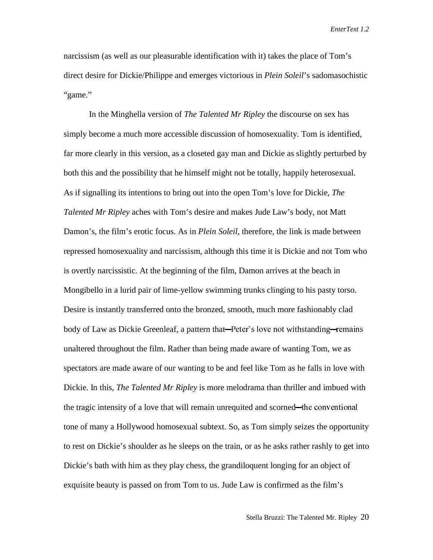narcissism (as well as our pleasurable identification with it) takes the place of Tom's direct desire for Dickie/Philippe and emerges victorious in *Plein Soleil*'s sadomasochistic "game."

In the Minghella version of *The Talented Mr Ripley* the discourse on sex has simply become a much more accessible discussion of homosexuality. Tom is identified, far more clearly in this version, as a closeted gay man and Dickie as slightly perturbed by both this and the possibility that he himself might not be totally, happily heterosexual. As if signalling its intentions to bring out into the open Tom's love for Dickie, *The Talented Mr Ripley* aches with Tom's desire and makes Jude Law's body, not Matt Damon's, the film's erotic focus. As in *Plein Soleil*, therefore, the link is made between repressed homosexuality and narcissism, although this time it is Dickie and not Tom who is overtly narcissistic. At the beginning of the film, Damon arrives at the beach in Mongibello in a lurid pair of lime-yellow swimming trunks clinging to his pasty torso. Desire is instantly transferred onto the bronzed, smooth, much more fashionably clad body of Law as Dickie Greenleaf, a pattern that—Peter's love not withstanding—remains unaltered throughout the film. Rather than being made aware of wanting Tom, we as spectators are made aware of our wanting to be and feel like Tom as he falls in love with Dickie. In this, *The Talented Mr Ripley* is more melodrama than thriller and imbued with the tragic intensity of a love that will remain unrequited and scorned—the conventional tone of many a Hollywood homosexual subtext. So, as Tom simply seizes the opportunity to rest on Dickie's shoulder as he sleeps on the train, or as he asks rather rashly to get into Dickie's bath with him as they play chess, the grandiloquent longing for an object of exquisite beauty is passed on from Tom to us. Jude Law is confirmed as the film's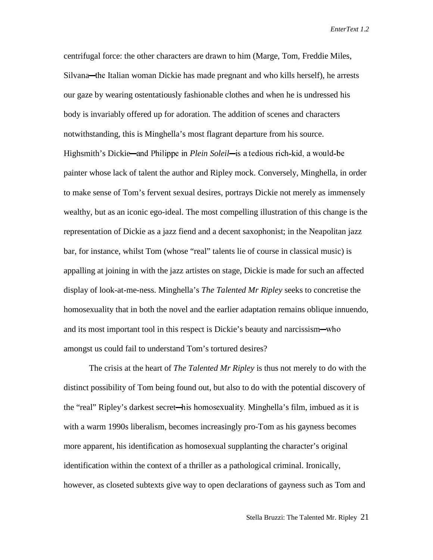centrifugal force: the other characters are drawn to him (Marge, Tom, Freddie Miles, Silvana—the Italian woman Dickie has made pregnant and who kills herself), he arrests our gaze by wearing ostentatiously fashionable clothes and when he is undressed his body is invariably offered up for adoration. The addition of scenes and characters notwithstanding, this is Minghella's most flagrant departure from his source. Highsmith's Dickie—and Philippe in *Plein Soleil*—is a tedious rich-kid, a would-be painter whose lack of talent the author and Ripley mock. Conversely, Minghella, in order to make sense of Tom's fervent sexual desires, portrays Dickie not merely as immensely wealthy, but as an iconic ego-ideal. The most compelling illustration of this change is the representation of Dickie as a jazz fiend and a decent saxophonist; in the Neapolitan jazz bar, for instance, whilst Tom (whose "real" talents lie of course in classical music) is appalling at joining in with the jazz artistes on stage, Dickie is made for such an affected display of look-at-me-ness. Minghella's *The Talented Mr Ripley* seeks to concretise the homosexuality that in both the novel and the earlier adaptation remains oblique innuendo, and its most important tool in this respect is Dickie's beauty and narcissism—who amongst us could fail to understand Tom's tortured desires?

The crisis at the heart of *The Talented Mr Ripley* is thus not merely to do with the distinct possibility of Tom being found out, but also to do with the potential discovery of the "real" Ripley's darkest secret—his homosexuality. Minghella's film, imbued as it is with a warm 1990s liberalism, becomes increasingly pro-Tom as his gayness becomes more apparent, his identification as homosexual supplanting the character's original identification within the context of a thriller as a pathological criminal. Ironically, however, as closeted subtexts give way to open declarations of gayness such as Tom and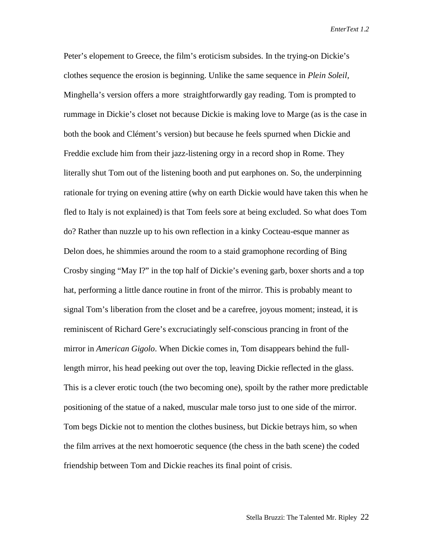Peter's elopement to Greece, the film's eroticism subsides. In the trying-on Dickie's clothes sequence the erosion is beginning. Unlike the same sequence in *Plein Soleil,* Minghella's version offers a more straightforwardly gay reading. Tom is prompted to rummage in Dickie's closet not because Dickie is making love to Marge (as is the case in both the book and Clément's version) but because he feels spurned when Dickie and Freddie exclude him from their jazz-listening orgy in a record shop in Rome. They literally shut Tom out of the listening booth and put earphones on. So, the underpinning rationale for trying on evening attire (why on earth Dickie would have taken this when he fled to Italy is not explained) is that Tom feels sore at being excluded. So what does Tom do? Rather than nuzzle up to his own reflection in a kinky Cocteau-esque manner as Delon does, he shimmies around the room to a staid gramophone recording of Bing Crosby singing "May I?" in the top half of Dickie's evening garb, boxer shorts and a top hat, performing a little dance routine in front of the mirror. This is probably meant to signal Tom's liberation from the closet and be a carefree, joyous moment; instead, it is reminiscent of Richard Gere's excruciatingly self-conscious prancing in front of the mirror in *American Gigolo*. When Dickie comes in, Tom disappears behind the fulllength mirror, his head peeking out over the top, leaving Dickie reflected in the glass. This is a clever erotic touch (the two becoming one), spoilt by the rather more predictable positioning of the statue of a naked, muscular male torso just to one side of the mirror. Tom begs Dickie not to mention the clothes business, but Dickie betrays him, so when the film arrives at the next homoerotic sequence (the chess in the bath scene) the coded friendship between Tom and Dickie reaches its final point of crisis.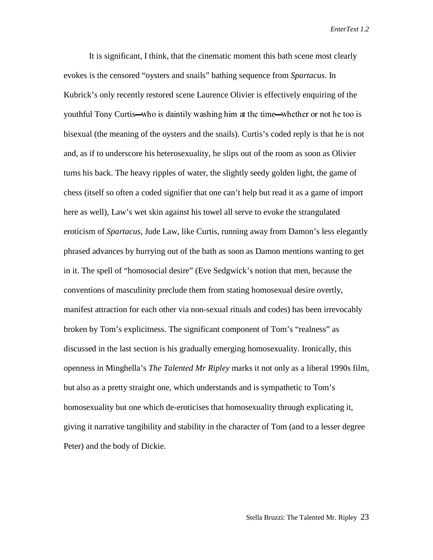It is significant, I think, that the cinematic moment this bath scene most clearly evokes is the censored "oysters and snails" bathing sequence from *Spartacus*. In Kubrick's only recently restored scene Laurence Olivier is effectively enquiring of the youthful Tony Curtis—who is daintily washing him at the time—whether or not he too is bisexual (the meaning of the oysters and the snails). Curtis's coded reply is that he is not and, as if to underscore his heterosexuality, he slips out of the room as soon as Olivier turns his back. The heavy ripples of water, the slightly seedy golden light, the game of chess (itself so often a coded signifier that one can't help but read it as a game of import here as well), Law's wet skin against his towel all serve to evoke the strangulated eroticism of *Spartacus,* Jude Law, like Curtis, running away from Damon's less elegantly phrased advances by hurrying out of the bath as soon as Damon mentions wanting to get in it. The spell of "homosocial desire" (Eve Sedgwick's notion that men, because the conventions of masculinity preclude them from stating homosexual desire overtly, manifest attraction for each other via non-sexual rituals and codes) has been irrevocably broken by Tom's explicitness. The significant component of Tom's "realness" as discussed in the last section is his gradually emerging homosexuality. Ironically, this openness in Minghella's *The Talented Mr Ripley* marks it not only as a liberal 1990s film, but also as a pretty straight one, which understands and is sympathetic to Tom's homosexuality but one which de-eroticises that homosexuality through explicating it, giving it narrative tangibility and stability in the character of Tom (and to a lesser degree Peter) and the body of Dickie.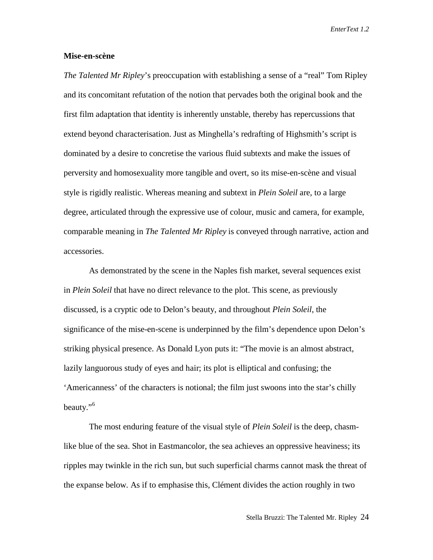#### **Mise-en-scène**

*The Talented Mr Ripley*'s preoccupation with establishing a sense of a "real" Tom Ripley and its concomitant refutation of the notion that pervades both the original book and the first film adaptation that identity is inherently unstable, thereby has repercussions that extend beyond characterisation. Just as Minghella's redrafting of Highsmith's script is dominated by a desire to concretise the various fluid subtexts and make the issues of perversity and homosexuality more tangible and overt, so its mise-en-scène and visual style is rigidly realistic. Whereas meaning and subtext in *Plein Soleil* are, to a large degree, articulated through the expressive use of colour, music and camera, for example, comparable meaning in *The Talented Mr Ripley* is conveyed through narrative, action and accessories.

As demonstrated by the scene in the Naples fish market, several sequences exist in *Plein Soleil* that have no direct relevance to the plot. This scene, as previously discussed, is a cryptic ode to Delon's beauty, and throughout *Plein Soleil*, the significance of the mise-en-scene is underpinned by the film's dependence upon Delon's striking physical presence. As Donald Lyon puts it: "The movie is an almost abstract, lazily languorous study of eyes and hair; its plot is elliptical and confusing; the 'Americanness' of the characters is notional; the film just swoons into the star's chilly beauty."<sup>6</sup>

The most enduring feature of the visual style of *Plein Soleil* is the deep, chasmlike blue of the sea. Shot in Eastmancolor, the sea achieves an oppressive heaviness; its ripples may twinkle in the rich sun, but such superficial charms cannot mask the threat of the expanse below. As if to emphasise this, Clément divides the action roughly in two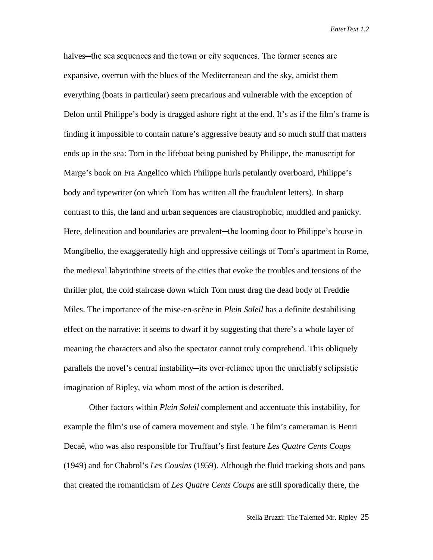halves—the sea sequences and the town or city sequences. The former scenes are expansive, overrun with the blues of the Mediterranean and the sky, amidst them everything (boats in particular) seem precarious and vulnerable with the exception of Delon until Philippe's body is dragged ashore right at the end. It's as if the film's frame is finding it impossible to contain nature's aggressive beauty and so much stuff that matters ends up in the sea: Tom in the lifeboat being punished by Philippe, the manuscript for Marge's book on Fra Angelico which Philippe hurls petulantly overboard, Philippe's body and typewriter (on which Tom has written all the fraudulent letters). In sharp contrast to this, the land and urban sequences are claustrophobic, muddled and panicky. Here, delineation and boundaries are prevalent—the looming door to Philippe's house in Mongibello, the exaggeratedly high and oppressive ceilings of Tom's apartment in Rome, the medieval labyrinthine streets of the cities that evoke the troubles and tensions of the thriller plot, the cold staircase down which Tom must drag the dead body of Freddie Miles. The importance of the mise-en-scène in *Plein Soleil* has a definite destabilising effect on the narrative: it seems to dwarf it by suggesting that there's a whole layer of meaning the characters and also the spectator cannot truly comprehend. This obliquely parallels the novel's central instability—its over-reliance upon the unreliably solipsistic imagination of Ripley, via whom most of the action is described.

Other factors within *Plein Soleil* complement and accentuate this instability, for example the film's use of camera movement and style. The film's cameraman is Henri Decaë, who was also responsible for Truffaut's first feature *Les Quatre Cents Coups* (1949) and for Chabrol's *Les Cousins* (1959). Although the fluid tracking shots and pans that created the romanticism of *Les Quatre Cents Coups* are still sporadically there, the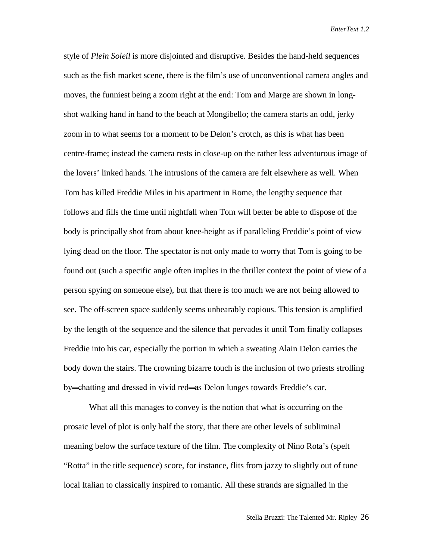style of *Plein Soleil* is more disjointed and disruptive. Besides the hand-held sequences such as the fish market scene, there is the film's use of unconventional camera angles and moves, the funniest being a zoom right at the end: Tom and Marge are shown in longshot walking hand in hand to the beach at Mongibello; the camera starts an odd, jerky zoom in to what seems for a moment to be Delon's crotch, as this is what has been centre-frame; instead the camera rests in close-up on the rather less adventurous image of the lovers' linked hands. The intrusions of the camera are felt elsewhere as well. When Tom has killed Freddie Miles in his apartment in Rome, the lengthy sequence that follows and fills the time until nightfall when Tom will better be able to dispose of the body is principally shot from about knee-height as if paralleling Freddie's point of view lying dead on the floor. The spectator is not only made to worry that Tom is going to be found out (such a specific angle often implies in the thriller context the point of view of a person spying on someone else), but that there is too much we are not being allowed to see. The off-screen space suddenly seems unbearably copious. This tension is amplified by the length of the sequence and the silence that pervades it until Tom finally collapses Freddie into his car, especially the portion in which a sweating Alain Delon carries the body down the stairs. The crowning bizarre touch is the inclusion of two priests strolling by—chatting and dressed in vivid red—as Delon lunges towards Freddie's car.

What all this manages to convey is the notion that what is occurring on the prosaic level of plot is only half the story, that there are other levels of subliminal meaning below the surface texture of the film. The complexity of Nino Rota's (spelt "Rotta" in the title sequence) score, for instance, flits from jazzy to slightly out of tune local Italian to classically inspired to romantic. All these strands are signalled in the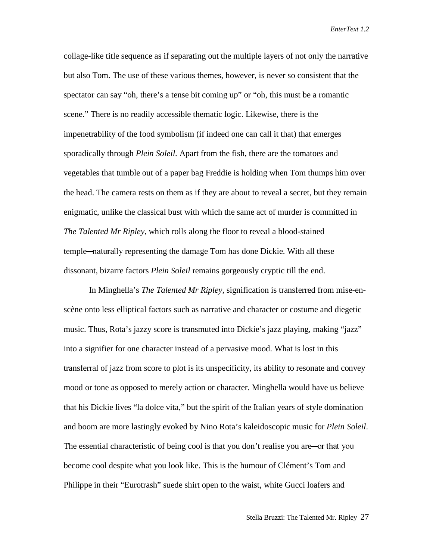collage-like title sequence as if separating out the multiple layers of not only the narrative but also Tom. The use of these various themes, however, is never so consistent that the spectator can say "oh, there's a tense bit coming up" or "oh, this must be a romantic scene." There is no readily accessible thematic logic. Likewise, there is the impenetrability of the food symbolism (if indeed one can call it that) that emerges sporadically through *Plein Soleil*. Apart from the fish, there are the tomatoes and vegetables that tumble out of a paper bag Freddie is holding when Tom thumps him over the head. The camera rests on them as if they are about to reveal a secret, but they remain enigmatic, unlike the classical bust with which the same act of murder is committed in *The Talented Mr Ripley*, which rolls along the floor to reveal a blood-stained temple—naturally representing the damage Tom has done Dickie. With all these dissonant, bizarre factors *Plein Soleil* remains gorgeously cryptic till the end.

In Minghella's *The Talented Mr Ripley*, signification is transferred from mise-enscène onto less elliptical factors such as narrative and character or costume and diegetic music. Thus, Rota's jazzy score is transmuted into Dickie's jazz playing, making "jazz" into a signifier for one character instead of a pervasive mood. What is lost in this transferral of jazz from score to plot is its unspecificity, its ability to resonate and convey mood or tone as opposed to merely action or character. Minghella would have us believe that his Dickie lives "la dolce vita," but the spirit of the Italian years of style domination and boom are more lastingly evoked by Nino Rota's kaleidoscopic music for *Plein Soleil*. The essential characteristic of being cool is that you don't realise you are—or that you become cool despite what you look like. This is the humour of Clément's Tom and Philippe in their "Eurotrash" suede shirt open to the waist, white Gucci loafers and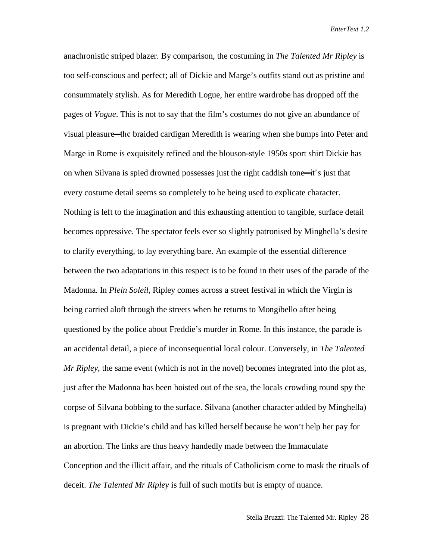anachronistic striped blazer. By comparison, the costuming in *The Talented Mr Ripley* is too self-conscious and perfect; all of Dickie and Marge's outfits stand out as pristine and consummately stylish. As for Meredith Logue, her entire wardrobe has dropped off the pages of *Vogue*. This is not to say that the film's costumes do not give an abundance of visual pleasure—the braided cardigan Meredith is wearing when she bumps into Peter and Marge in Rome is exquisitely refined and the blouson-style 1950s sport shirt Dickie has on when Silvana is spied drowned possesses just the right caddish tone—it's just that every costume detail seems so completely to be being used to explicate character. Nothing is left to the imagination and this exhausting attention to tangible, surface detail becomes oppressive. The spectator feels ever so slightly patronised by Minghella's desire to clarify everything, to lay everything bare. An example of the essential difference between the two adaptations in this respect is to be found in their uses of the parade of the Madonna. In *Plein Soleil*, Ripley comes across a street festival in which the Virgin is being carried aloft through the streets when he returns to Mongibello after being questioned by the police about Freddie's murder in Rome. In this instance, the parade is an accidental detail, a piece of inconsequential local colour. Conversely, in *The Talented Mr Ripley*, the same event (which is not in the novel) becomes integrated into the plot as, just after the Madonna has been hoisted out of the sea, the locals crowding round spy the corpse of Silvana bobbing to the surface. Silvana (another character added by Minghella) is pregnant with Dickie's child and has killed herself because he won't help her pay for an abortion. The links are thus heavy handedly made between the Immaculate Conception and the illicit affair, and the rituals of Catholicism come to mask the rituals of deceit. *The Talented Mr Ripley* is full of such motifs but is empty of nuance.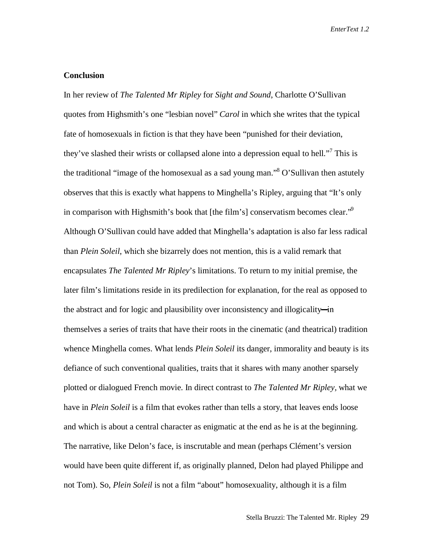### **Conclusion**

In her review of *The Talented Mr Ripley* for *Sight and Sound*, Charlotte O'Sullivan quotes from Highsmith's one "lesbian novel" *Carol* in which she writes that the typical fate of homosexuals in fiction is that they have been "punished for their deviation, they've slashed their wrists or collapsed alone into a depression equal to hell."<sup>7</sup> This is the traditional "image of the homosexual as a sad young man."<sup>8</sup> O'Sullivan then astutely observes that this is exactly what happens to Minghella's Ripley, arguing that "It's only in comparison with Highsmith's book that [the film's] conservatism becomes clear.<sup> $\mathcal{P}$ </sup> Although O'Sullivan could have added that Minghella's adaptation is also far less radical than *Plein Soleil*, which she bizarrely does not mention, this is a valid remark that encapsulates *The Talented Mr Ripley*'s limitations. To return to my initial premise, the later film's limitations reside in its predilection for explanation, for the real as opposed to the abstract and for logic and plausibility over inconsistency and illogicality—in themselves a series of traits that have their roots in the cinematic (and theatrical) tradition whence Minghella comes. What lends *Plein Soleil* its danger, immorality and beauty is its defiance of such conventional qualities, traits that it shares with many another sparsely plotted or dialogued French movie. In direct contrast to *The Talented Mr Ripley,* what we have in *Plein Soleil* is a film that evokes rather than tells a story, that leaves ends loose and which is about a central character as enigmatic at the end as he is at the beginning. The narrative, like Delon's face, is inscrutable and mean (perhaps Clément's version would have been quite different if, as originally planned, Delon had played Philippe and not Tom). So, *Plein Soleil* is not a film "about" homosexuality, although it is a film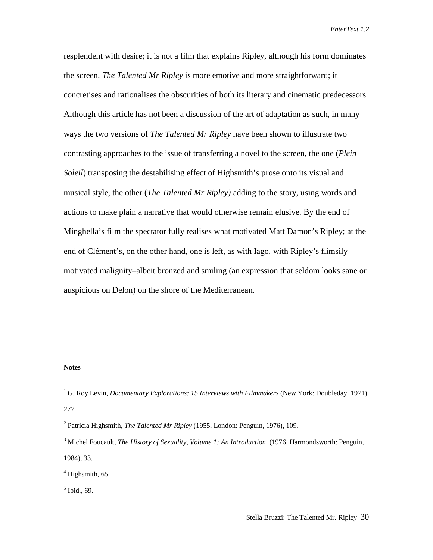resplendent with desire; it is not a film that explains Ripley, although his form dominates the screen. *The Talented Mr Ripley* is more emotive and more straightforward; it concretises and rationalises the obscurities of both its literary and cinematic predecessors. Although this article has not been a discussion of the art of adaptation as such, in many ways the two versions of *The Talented Mr Ripley* have been shown to illustrate two contrasting approaches to the issue of transferring a novel to the screen, the one (*Plein Soleil*) transposing the destabilising effect of Highsmith's prose onto its visual and musical style, the other (*The Talented Mr Ripley)* adding to the story, using words and actions to make plain a narrative that would otherwise remain elusive. By the end of Minghella's film the spectator fully realises what motivated Matt Damon's Ripley; at the end of Clément's, on the other hand, one is left, as with Iago, with Ripley's flimsily motivated malignity–albeit bronzed and smiling (an expression that seldom looks sane or auspicious on Delon) on the shore of the Mediterranean.

#### **Notes**

5 Ibid., 69.

 1 G. Roy Levin, *Documentary Explorations: 15 Interviews with Filmmakers* (New York: Doubleday, 1971), 277.

<sup>2</sup> Patricia Highsmith, *The Talented Mr Ripley* (1955, London: Penguin, 1976), 109.

<sup>&</sup>lt;sup>3</sup> Michel Foucault, *The History of Sexuality, Volume 1: An Introduction* (1976, Harmondsworth: Penguin, 1984), 33.

 $4$  Highsmith, 65.